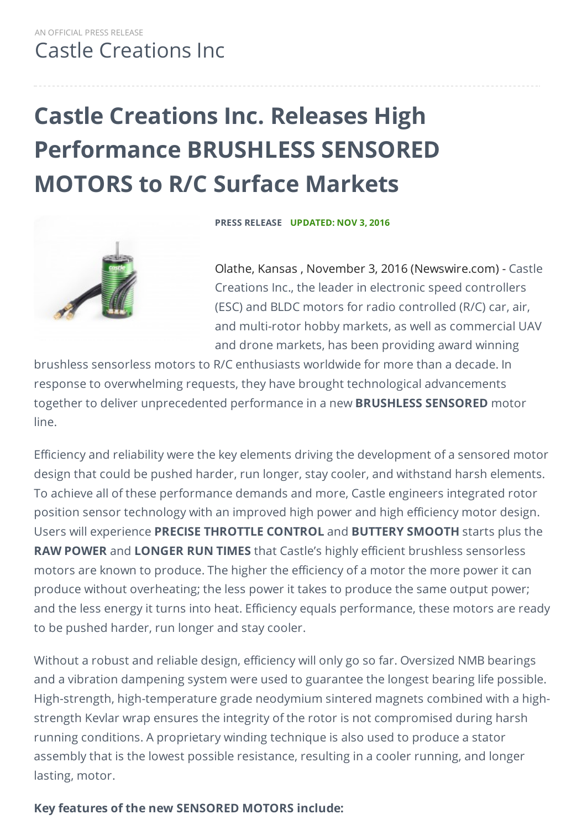## **Castle Creations Inc. Releases High Performance BRUSHLESS SENSORED MOTORS to R/C Surface Markets**



**PRESS RELEASE UPDATED: NOV 3, 2016**

Olathe, Kansas , November 3, 2016 (Newswire.com) - Castle Creations Inc., the leader in electronic speed controllers (ESC) and BLDC motors for radio controlled (R/C) car, air, and multi-rotor hobby markets, as well as commercial UAV and drone markets, has been providing award winning

brushless sensorless motors to R/C enthusiasts worldwide for more than a decade. In response to overwhelming requests, they have brought technological advancements together to deliver unprecedented performance in a new **BRUSHLESS SENSORED** motor line.

Efficiency and reliability were the key elements driving the development of a sensored motor design that could be pushed harder, run longer, stay cooler, and withstand harsh elements. To achieve all of these performance demands and more, Castle engineers integrated rotor position sensor technology with an improved high power and high efficiency motor design. Users will experience **PRECISE THROTTLE CONTROL** and **BUTTERY SMOOTH** starts plus the **RAW POWER** and **LONGER RUN TIMES** that Castle's highly efficient brushless sensorless motors are known to produce. The higher the efficiency of a motor the more power it can produce without overheating; the less power it takes to produce the same output power; and the less energy it turns into heat. Efficiency equals performance, these motors are ready to be pushed harder, run longer and stay cooler.

Without a robust and reliable design, efficiency will only go so far. Oversized NMB bearings and a vibration dampening system were used to guarantee the longest bearing life possible. High-strength, high-temperature grade neodymium sintered magnets combined with a highstrength Kevlar wrap ensures the integrity of the rotor is not compromised during harsh running conditions. A proprietary winding technique is also used to produce a stator assembly that is the lowest possible resistance, resulting in a cooler running, and longer lasting, motor.

## **Key features of the new SENSORED MOTORS include:**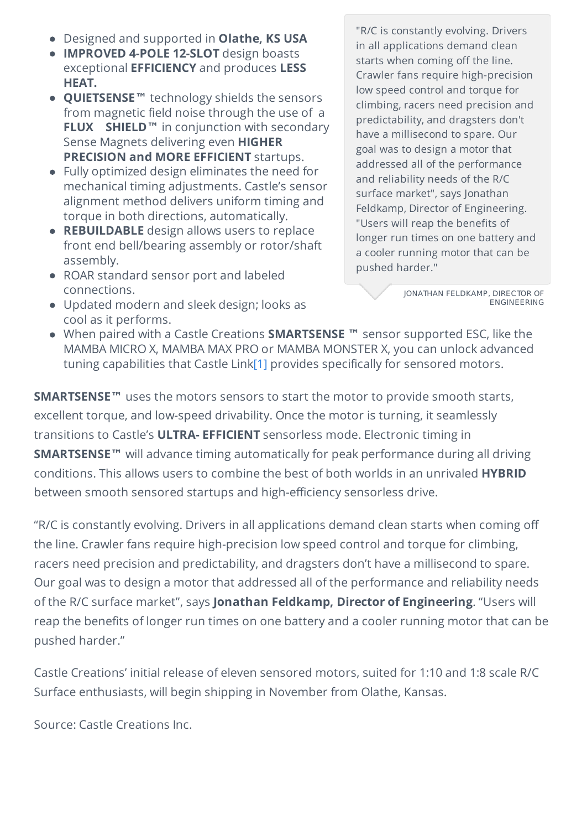- Designed and supported in **Olathe, KS USA**
- **IMPROVED 4-POLE 12-SLOT** design boasts exceptional **EFFICIENCY** and produces **LESS HEAT.**
- **QUIETSENSE™** technology shields the sensors from magnetic field noise through the use of a **FLUX SHIELD™** in conjunction with secondary Sense Magnets delivering even **HIGHER PRECISION and MORE EFFICIENT** startups.
- Fully optimized design eliminates the need for mechanical timing adjustments. Castle's sensor alignment method delivers uniform timing and torque in both directions, automatically.
- **REBUILDABLE** design allows users to replace front end bell/bearing assembly or rotor/shaft assembly.
- ROAR standard sensor port and labeled connections.
- Updated modern and sleek design; looks as cool as it performs.

"R/C is constantly evolving. Drivers in all applications demand clean starts when coming off the line. Crawler fans require high-precision low speed control and torque for climbing, racers need precision and predictability, and dragsters don't have a millisecond to spare. Our goal was to design a motor that addressed all of the performance and reliability needs of the R/C surface market", says Jonathan Feldkamp, Director of Engineering. "Users will reap the benefits of longer run times on one battery and a cooler running motor that can be pushed harder."

> JONATHAN FELDKAMP, DIRECTOR OF ENGINEERING

When paired with a Castle Creations **SMARTSENSE ™** sensor supported ESC, like the MAMBA MICRO X, MAMBA MAX PRO or MAMBA MONSTER X, you can unlock advanced tuning capabilities that Castle Lin[k\[1\]](https://www.newswire.com/#_ftn1) provides specifically for sensored motors.

**SMARTSENSE™** uses the motors sensors to start the motor to provide smooth starts, excellent torque, and low-speed drivability. Once the motor is turning, it seamlessly transitions to Castle's **ULTRA- EFFICIENT** sensorless mode. Electronic timing in **SMARTSENSE™** will advance timing automatically for peak performance during all driving conditions. This allows users to combine the best of both worlds in an unrivaled **HYBRID** between smooth sensored startups and high-efficiency sensorless drive.

"R/C is constantly evolving. Drivers in all applications demand clean starts when coming off the line. Crawler fans require high-precision low speed control and torque for climbing, racers need precision and predictability, and dragsters don't have a millisecond to spare. Our goal was to design a motor that addressed all of the performance and reliability needs of the R/C surface market", says **Jonathan Feldkamp, Director of Engineering**. "Users will reap the benefits of longer run times on one battery and a cooler running motor that can be pushed harder."

Castle Creations' initial release of eleven sensored motors, suited for 1:10 and 1:8 scale R/C Surface enthusiasts, will begin shipping in November from Olathe, Kansas.

Source: Castle Creations Inc.